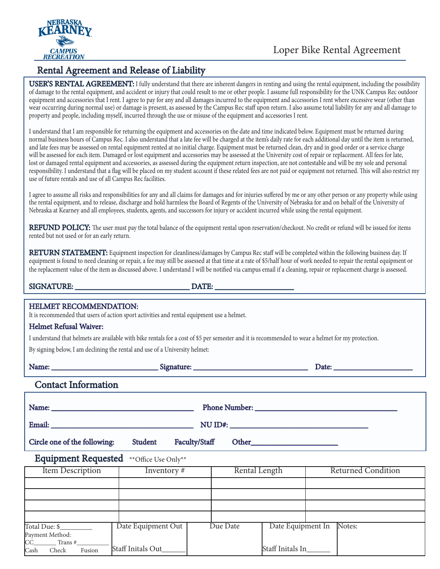

Payment Method:  $CC$  Trans # Cash Check Fusion

Staff Initals Out\_\_\_\_\_\_

## Rental Agreement and Release of Liability

**USER'S RENTAL AGREEMENT:** I fully understand that there are inherent dangers in renting and using the rental equipment, including the possibility of damage to the rental equipment, and accident or injury that could result to me or other people. I assume full responsibility for the UNK Campus Rec outdoor equipment and accessories that I rent. I agree to pay for any and all damages incurred to the equipment and accessories I rent where excessive wear (other than wear occurring during normal use) or damage is present, as assessed by the Campus Rec staff upon return. I also assume total liability for any and all damage to property and people, including myself, incurred through the use or misuse of the equipment and accessories I rent.

I understand that I am responsible for returning the equipment and accessories on the date and time indicated below. Equipment must be returned during normal business hours of Campus Rec. I also understand that a late fee will be charged at the item's daily rate for each additional day until the item is returned, and late fees may be assessed on rental equipment rented at no initial charge. Equipment must be returned clean, dry and in good order or a service charge will be assessed for each item. Damaged or lost equipment and accessories may be assessed at the University cost of repair or replacement. All fees for late, lost or damaged rental equipment and accessories, as assessed during the equipment return inspection, are not contestable and will be my sole and personal responsibility. I understand that a flag will be placed on my student account if these related fees are not paid or equipment not returned. This will also restrict my use of future rentals and use of all Campus Rec facilities.

I agree to assume all risks and responsibilities for any and all claims for damages and for injuries suffered by me or any other person or any property while using the rental equipment, and to release, discharge and hold harmless the Board of Regents of the University of Nebraska for and on behalf of the University of Nebraska at Kearney and all employees, students, agents, and successors for injury or accident incurred while using the rental equipment.

REFUND POLICY: The user must pay the total balance of the equipment rental upon reservation/checkout. No credit or refund will be issued for items rented but not used or for an early return.

RETURN STATEMENT: Equipment inspection for cleanliness/damages by Campus Rec staff will be completed within the following business day. If equipment is found to need cleaning or repair, a fee may still be assessed at that time at a rate of \$5/half hour of work needed to repair the rental equipment or the replacement value of the item as discussed above. I understand I will be notified via campus email if a cleaning, repair or replacement charge is assessed.

| <b>HELMET RECOMMENDATION:</b><br>It is recommended that users of action sport activities and rental equipment use a helmet.<br><b>Helmet Refusal Waiver:</b><br>I understand that helmets are available with bike rentals for a cost of \$5 per semester and it is recommended to wear a helmet for my protection.<br>By signing below, I am declining the rental and use of a University helmet: |                    |          |               |                           |  |  |  |
|---------------------------------------------------------------------------------------------------------------------------------------------------------------------------------------------------------------------------------------------------------------------------------------------------------------------------------------------------------------------------------------------------|--------------------|----------|---------------|---------------------------|--|--|--|
|                                                                                                                                                                                                                                                                                                                                                                                                   |                    |          |               |                           |  |  |  |
| <b>Contact Information</b>                                                                                                                                                                                                                                                                                                                                                                        |                    |          |               |                           |  |  |  |
| Name: Name and the state of the state of the state of the state of the state of the state of the state of the state of the state of the state of the state of the state of the state of the state of the state of the state of                                                                                                                                                                    |                    |          |               |                           |  |  |  |
| Faculty/Staff<br>Circle one of the following:<br>Student                                                                                                                                                                                                                                                                                                                                          |                    |          |               |                           |  |  |  |
| <b>Equipment Requested</b><br>**Office Use Only**                                                                                                                                                                                                                                                                                                                                                 |                    |          |               |                           |  |  |  |
| <b>Item Description</b>                                                                                                                                                                                                                                                                                                                                                                           | Inventory#         |          | Rental Length | <b>Returned Condition</b> |  |  |  |
|                                                                                                                                                                                                                                                                                                                                                                                                   |                    |          |               |                           |  |  |  |
| Total Due: \$                                                                                                                                                                                                                                                                                                                                                                                     | Date Equipment Out | Due Date |               | Date Equipment In Notes:  |  |  |  |

Staff Initals In\_\_\_\_\_\_